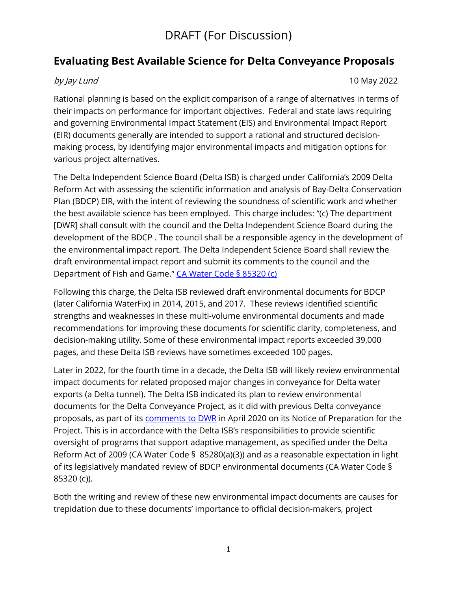## **Evaluating Best Available Science for Delta Conveyance Proposals**

by Jay Lund 10 May 2022

Rational planning is based on the explicit comparison of a range of alternatives in terms of their impacts on performance for important objectives. Federal and state laws requiring and governing Environmental Impact Statement (EIS) and Environmental Impact Report (EIR) documents generally are intended to support a rational and structured decisionmaking process, by identifying major environmental impacts and mitigation options for various project alternatives.

The Delta Independent Science Board (Delta ISB) is charged under California's 2009 Delta Reform Act with assessing the scientific information and analysis of Bay-Delta Conservation Plan (BDCP) EIR, with the intent of reviewing the soundness of scientific work and whether the best available science has been employed. This charge includes: "(c) The department [DWR] shall consult with the council and the Delta Independent Science Board during the development of the BDCP . The council shall be a responsible agency in the development of the environmental impact report. The Delta Independent Science Board shall review the draft environmental impact report and submit its comments to the council and the Department of Fish and Game." [CA Water Code § 85320 \(c\)](https://codes.findlaw.com/ca/water-code/wat-sect-85320.html)

Following this charge, the Delta ISB reviewed draft environmental documents for BDCP (later California WaterFix) in 2014, 2015, and 2017. These reviews identified scientific strengths and weaknesses in these multi-volume environmental documents and made recommendations for improving these documents for scientific clarity, completeness, and decision-making utility. Some of these environmental impact reports exceeded 39,000 pages, and these Delta ISB reviews have sometimes exceeded 100 pages.

Later in 2022, for the fourth time in a decade, the Delta ISB will likely review environmental impact documents for related proposed major changes in conveyance for Delta water exports (a Delta tunnel). The Delta ISB indicated its plan to review environmental documents for the Delta Conveyance Project, as it did with previous Delta conveyance proposals, as part of its [comments to DWR](https://deltacouncil.ca.gov/pdf/isb/products/2020-04-17-isb-letter-delta-conveyance-notice-of-preparation.pdf) in April 2020 on its Notice of Preparation for the Project. This is in accordance with the Delta ISB's responsibilities to provide scientific oversight of programs that support adaptive management, as specified under the Delta Reform Act of 2009 (CA Water Code § 85280(a)(3)) and as a reasonable expectation in light of its legislatively mandated review of BDCP environmental documents (CA Water Code § 85320 (c)).

Both the writing and review of these new environmental impact documents are causes for trepidation due to these documents' importance to official decision-makers, project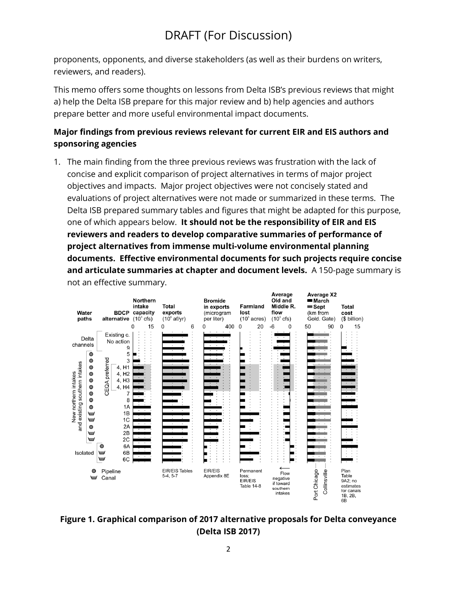proponents, opponents, and diverse stakeholders (as well as their burdens on writers, reviewers, and readers).

This memo offers some thoughts on lessons from Delta ISB's previous reviews that might a) help the Delta ISB prepare for this major review and b) help agencies and authors prepare better and more useful environmental impact documents.

## **Major findings from previous reviews relevant for current EIR and EIS authors and sponsoring agencies**

1. The main finding from the three previous reviews was frustration with the lack of concise and explicit comparison of project alternatives in terms of major project objectives and impacts. Major project objectives were not concisely stated and evaluations of project alternatives were not made or summarized in these terms. The Delta ISB prepared summary tables and figures that might be adapted for this purpose, one of which appears below. **It should not be the responsibility of EIR and EIS reviewers and readers to develop comparative summaries of performance of project alternatives from immense multi-volume environmental planning documents. Effective environmental documents for such projects require concise and articulate summaries at chapter and document levels.** A 150-page summary is not an effective summary.



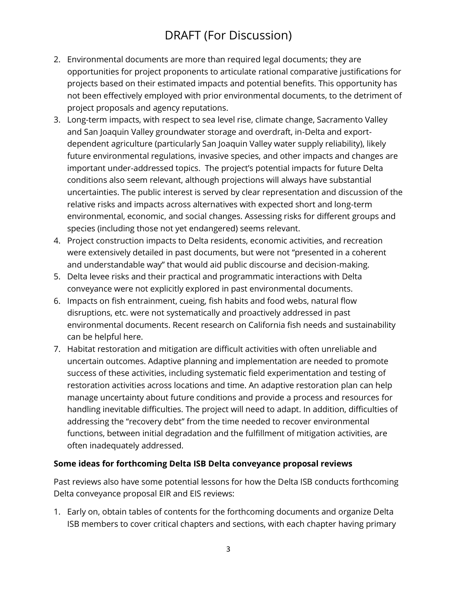- 2. Environmental documents are more than required legal documents; they are opportunities for project proponents to articulate rational comparative justifications for projects based on their estimated impacts and potential benefits. This opportunity has not been effectively employed with prior environmental documents, to the detriment of project proposals and agency reputations.
- 3. Long-term impacts, with respect to sea level rise, climate change, Sacramento Valley and San Joaquin Valley groundwater storage and overdraft, in-Delta and exportdependent agriculture (particularly San Joaquin Valley water supply reliability), likely future environmental regulations, invasive species, and other impacts and changes are important under-addressed topics. The project's potential impacts for future Delta conditions also seem relevant, although projections will always have substantial uncertainties. The public interest is served by clear representation and discussion of the relative risks and impacts across alternatives with expected short and long-term environmental, economic, and social changes. Assessing risks for different groups and species (including those not yet endangered) seems relevant.
- 4. Project construction impacts to Delta residents, economic activities, and recreation were extensively detailed in past documents, but were not "presented in a coherent and understandable way" that would aid public discourse and decision-making.
- 5. Delta levee risks and their practical and programmatic interactions with Delta conveyance were not explicitly explored in past environmental documents.
- 6. Impacts on fish entrainment, cueing, fish habits and food webs, natural flow disruptions, etc. were not systematically and proactively addressed in past environmental documents. Recent research on California fish needs and sustainability can be helpful here.
- 7. Habitat restoration and mitigation are difficult activities with often unreliable and uncertain outcomes. Adaptive planning and implementation are needed to promote success of these activities, including systematic field experimentation and testing of restoration activities across locations and time. An adaptive restoration plan can help manage uncertainty about future conditions and provide a process and resources for handling inevitable difficulties. The project will need to adapt. In addition, difficulties of addressing the "recovery debt" from the time needed to recover environmental functions, between initial degradation and the fulfillment of mitigation activities, are often inadequately addressed.

### **Some ideas for forthcoming Delta ISB Delta conveyance proposal reviews**

Past reviews also have some potential lessons for how the Delta ISB conducts forthcoming Delta conveyance proposal EIR and EIS reviews:

1. Early on, obtain tables of contents for the forthcoming documents and organize Delta ISB members to cover critical chapters and sections, with each chapter having primary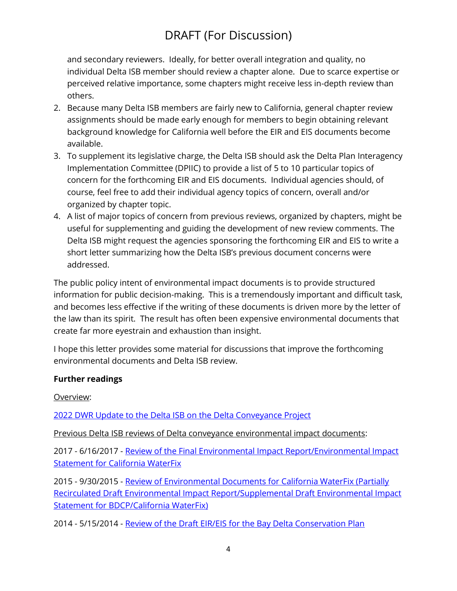and secondary reviewers. Ideally, for better overall integration and quality, no individual Delta ISB member should review a chapter alone. Due to scarce expertise or perceived relative importance, some chapters might receive less in-depth review than others.

- 2. Because many Delta ISB members are fairly new to California, general chapter review assignments should be made early enough for members to begin obtaining relevant background knowledge for California well before the EIR and EIS documents become available.
- 3. To supplement its legislative charge, the Delta ISB should ask the Delta Plan Interagency Implementation Committee (DPIIC) to provide a list of 5 to 10 particular topics of concern for the forthcoming EIR and EIS documents. Individual agencies should, of course, feel free to add their individual agency topics of concern, overall and/or organized by chapter topic.
- 4. A list of major topics of concern from previous reviews, organized by chapters, might be useful for supplementing and guiding the development of new review comments. The Delta ISB might request the agencies sponsoring the forthcoming EIR and EIS to write a short letter summarizing how the Delta ISB's previous document concerns were addressed.

The public policy intent of environmental impact documents is to provide structured information for public decision-making. This is a tremendously important and difficult task, and becomes less effective if the writing of these documents is driven more by the letter of the law than its spirit. The result has often been expensive environmental documents that create far more eyestrain and exhaustion than insight.

I hope this letter provides some material for discussions that improve the forthcoming environmental documents and Delta ISB review.

### **Further readings**

Overview:

[2022 DWR Update to the Delta ISB on the Delta Conveyance Project](https://mavensnotebook.com/2022/02/24/delta-independent-science-board-delta-conveyance-project-update/)

Previous Delta ISB reviews of Delta conveyance environmental impact documents:

2017 - 6/16/2017 - [Review of the Final Environmental Impact Report/Environmental Impact](https://deltacouncil.ca.gov/pdf/isb/products/2017-06-16-isb-waterfix-review.pdf)  [Statement for California WaterFix](https://deltacouncil.ca.gov/pdf/isb/products/2017-06-16-isb-waterfix-review.pdf)

2015 - 9/30/2015 - [Review of Environmental Documents for California WaterFix \(Partially](https://deltacouncil.box.com/s/l5ga8wh2hegiyw2cmytlx7t21ldtl6x9)  [Recirculated Draft Environmental Impact Report/Supplemental Draft Environmental Impact](https://deltacouncil.box.com/s/l5ga8wh2hegiyw2cmytlx7t21ldtl6x9)  [Statement for BDCP/California WaterFix\)](https://deltacouncil.box.com/s/l5ga8wh2hegiyw2cmytlx7t21ldtl6x9) 

2014 - 5/15/2014 - [Review of the Draft EIR/EIS for the Bay Delta Conservation Plan](https://deltacouncil.box.com/s/7c59n7mpcwnf5sbiie8ldi7lo992if2u)